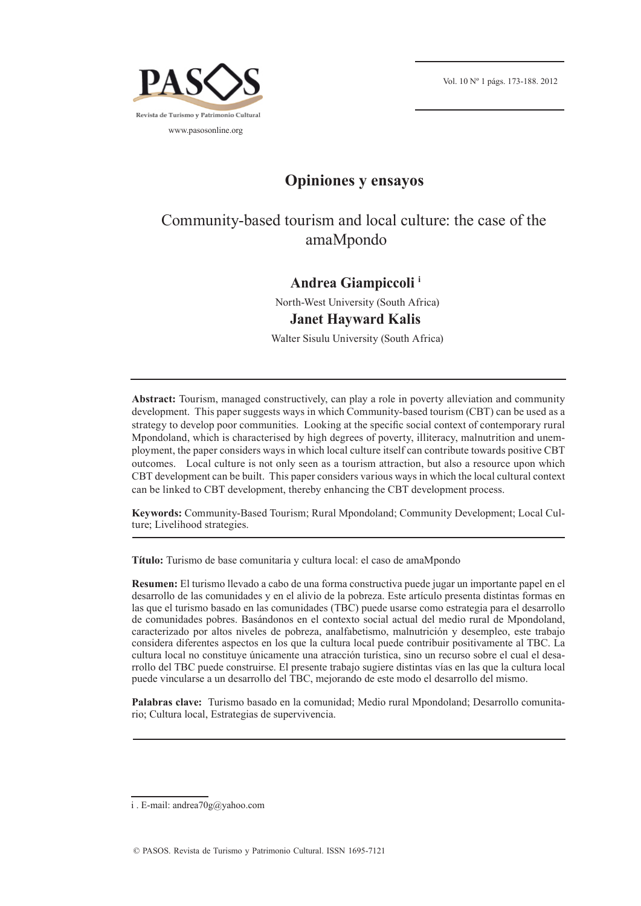

## **Opiniones y ensayos**

# Community-based tourism and local culture: the case of the amaMpondo

### **Andrea Giampiccoli i**

North-West University (South Africa) **Janet Hayward Kalis** 

Walter Sisulu University (South Africa)

**Abstract:** Tourism, managed constructively, can play a role in poverty alleviation and community development. This paper suggests ways in which Community-based tourism (CBT) can be used as a strategy to develop poor communities. Looking at the specific social context of contemporary rural Mpondoland, which is characterised by high degrees of poverty, illiteracy, malnutrition and unemployment, the paper considers ways in which local culture itself can contribute towards positive CBT outcomes. Local culture is not only seen as a tourism attraction, but also a resource upon which CBT development can be built. This paper considers various ways in which the local cultural context can be linked to CBT development, thereby enhancing the CBT development process.

**Keywords:** Community-Based Tourism; Rural Mpondoland; Community Development; Local Culture; Livelihood strategies.

**Título:** Turismo de base comunitaria y cultura local: el caso de amaMpondo

**Resumen:** El turismo llevado a cabo de una forma constructiva puede jugar un importante papel en el desarrollo de las comunidades y en el alivio de la pobreza. Este artículo presenta distintas formas en las que el turismo basado en las comunidades (TBC) puede usarse como estrategia para el desarrollo de comunidades pobres. Basándonos en el contexto social actual del medio rural de Mpondoland, caracterizado por altos niveles de pobreza, analfabetismo, malnutrición y desempleo, este trabajo considera diferentes aspectos en los que la cultura local puede contribuir positivamente al TBC. La cultura local no constituye únicamente una atracción turística, sino un recurso sobre el cual el desarrollo del TBC puede construirse. El presente trabajo sugiere distintas vías en las que la cultura local puede vincularse a un desarrollo del TBC, mejorando de este modo el desarrollo del mismo.

**Palabras clave:** Turismo basado en la comunidad; Medio rural Mpondoland; Desarrollo comunitario; Cultura local, Estrategias de supervivencia.

i . E-mail: andrea70g@yahoo.com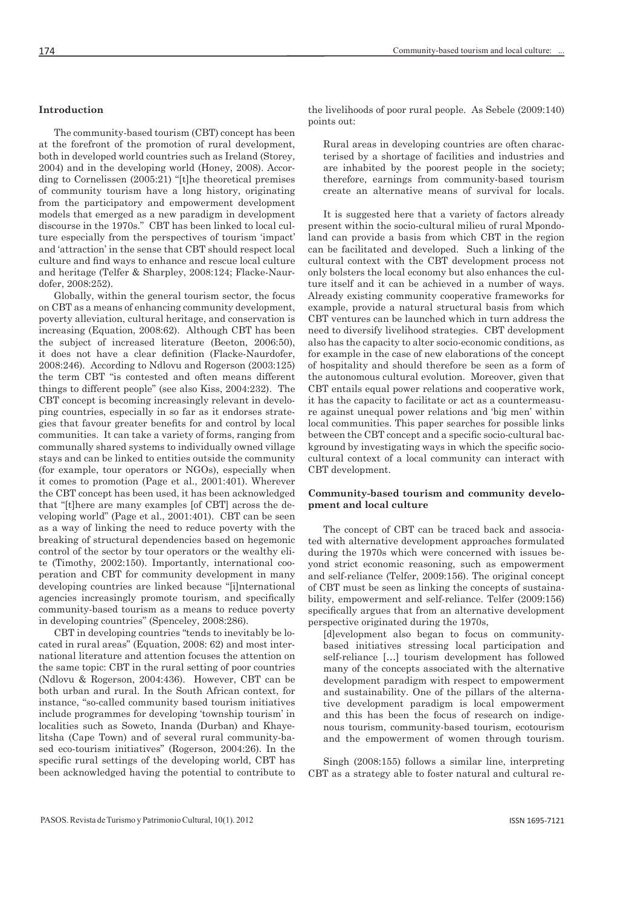The community-based tourism (CBT) concept has been at the forefront of the promotion of rural development, both in developed world countries such as Ireland (Storey, 2004) and in the developing world (Honey, 2008). According to Cornelissen (2005:21) "[t]he theoretical premises of community tourism have a long history, originating from the participatory and empowerment development models that emerged as a new paradigm in development discourse in the 1970s." CBT has been linked to local culture especially from the perspectives of tourism 'impact' and 'attraction' in the sense that CBT should respect local culture and find ways to enhance and rescue local culture and heritage (Telfer & Sharpley, 2008:124; Flacke-Naurdofer, 2008:252).

Globally, within the general tourism sector, the focus on CBT as a means of enhancing community development, poverty alleviation, cultural heritage, and conservation is increasing (Equation, 2008:62). Although CBT has been the subject of increased literature (Beeton, 2006:50), it does not have a clear definition (Flacke-Naurdofer, 2008:246). According to Ndlovu and Rogerson (2003:125) the term CBT "is contested and often means different things to different people" (see also Kiss, 2004:232). The CBT concept is becoming increasingly relevant in developing countries, especially in so far as it endorses strategies that favour greater benefits for and control by local communities. It can take a variety of forms, ranging from communally shared systems to individually owned village stays and can be linked to entities outside the community (for example, tour operators or NGOs), especially when it comes to promotion (Page et al., 2001:401). Wherever the CBT concept has been used, it has been acknowledged that "[t]here are many examples [of CBT] across the developing world" (Page et al., 2001:401). CBT can be seen as a way of linking the need to reduce poverty with the breaking of structural dependencies based on hegemonic control of the sector by tour operators or the wealthy elite (Timothy, 2002:150). Importantly, international cooperation and CBT for community development in many developing countries are linked because "[i]nternational agencies increasingly promote tourism, and specifically community-based tourism as a means to reduce poverty in developing countries" (Spenceley, 2008:286).

CBT in developing countries "tends to inevitably be located in rural areas" (Equation, 2008: 62) and most international literature and attention focuses the attention on the same topic: CBT in the rural setting of poor countries (Ndlovu & Rogerson, 2004:436). However, CBT can be both urban and rural. In the South African context, for instance, "so-called community based tourism initiatives include programmes for developing 'township tourism' in localities such as Soweto, Inanda (Durban) and Khayelitsha (Cape Town) and of several rural community-based eco-tourism initiatives" (Rogerson, 2004:26). In the specific rural settings of the developing world, CBT has been acknowledged having the potential to contribute to the livelihoods of poor rural people. As Sebele (2009:140) points out:

Rural areas in developing countries are often characterised by a shortage of facilities and industries and are inhabited by the poorest people in the society; therefore, earnings from community-based tourism create an alternative means of survival for locals.

It is suggested here that a variety of factors already present within the socio-cultural milieu of rural Mpondoland can provide a basis from which CBT in the region can be facilitated and developed. Such a linking of the cultural context with the CBT development process not only bolsters the local economy but also enhances the culture itself and it can be achieved in a number of ways. Already existing community cooperative frameworks for example, provide a natural structural basis from which CBT ventures can be launched which in turn address the need to diversify livelihood strategies. CBT development also has the capacity to alter socio-economic conditions, as for example in the case of new elaborations of the concept of hospitality and should therefore be seen as a form of the autonomous cultural evolution. Moreover, given that CBT entails equal power relations and cooperative work, it has the capacity to facilitate or act as a countermeasure against unequal power relations and 'big men' within local communities. This paper searches for possible links between the CBT concept and a specific socio-cultural background by investigating ways in which the specific sociocultural context of a local community can interact with CBT development.

#### **Community-based tourism and community development and local culture**

The concept of CBT can be traced back and associated with alternative development approaches formulated during the 1970s which were concerned with issues beyond strict economic reasoning, such as empowerment and self-reliance (Telfer, 2009:156). The original concept of CBT must be seen as linking the concepts of sustainability, empowerment and self-reliance. Telfer (2009:156) specifically argues that from an alternative development perspective originated during the 1970s,

[d]evelopment also began to focus on communitybased initiatives stressing local participation and self-reliance […] tourism development has followed many of the concepts associated with the alternative development paradigm with respect to empowerment and sustainability. One of the pillars of the alternative development paradigm is local empowerment and this has been the focus of research on indigenous tourism, community-based tourism, ecotourism and the empowerment of women through tourism.

Singh (2008:155) follows a similar line, interpreting CBT as a strategy able to foster natural and cultural re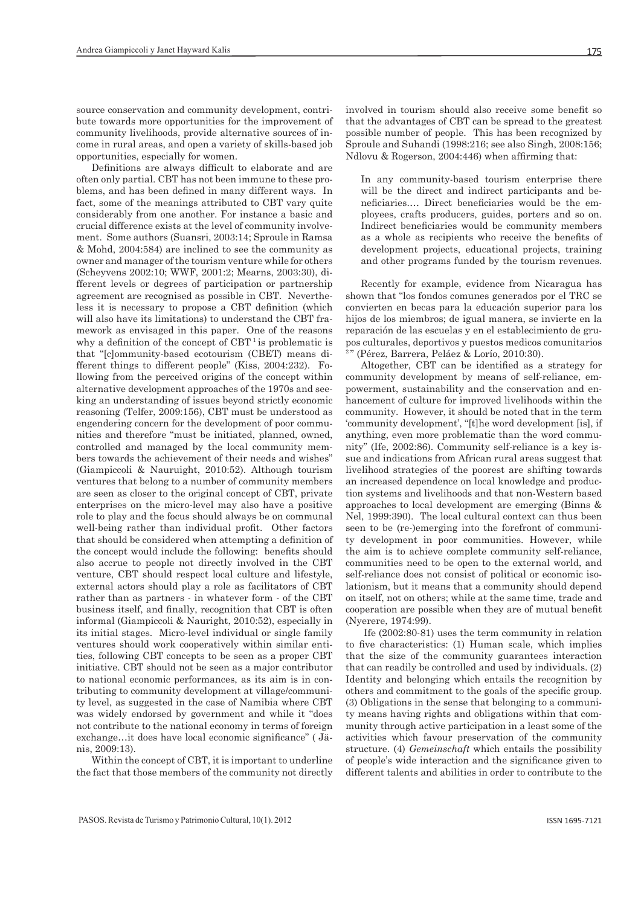source conservation and community development, contribute towards more opportunities for the improvement of community livelihoods, provide alternative sources of income in rural areas, and open a variety of skills-based job opportunities, especially for women.

Definitions are always difficult to elaborate and are often only partial. CBT has not been immune to these problems, and has been defined in many different ways. In fact, some of the meanings attributed to CBT vary quite considerably from one another. For instance a basic and crucial difference exists at the level of community involvement. Some authors (Suansri, 2003:14; Sproule in Ramsa & Mohd, 2004:584) are inclined to see the community as owner and manager of the tourism venture while for others (Scheyvens 2002:10; WWF, 2001:2; Mearns, 2003:30), different levels or degrees of participation or partnership agreement are recognised as possible in CBT. Nevertheless it is necessary to propose a CBT definition (which will also have its limitations) to understand the CBT framework as envisaged in this paper. One of the reasons why a definition of the concept of CBT<sup>1</sup> is problematic is that "[c]ommunity-based ecotourism (CBET) means different things to different people" (Kiss, 2004:232). Following from the perceived origins of the concept within alternative development approaches of the 1970s and seeking an understanding of issues beyond strictly economic reasoning (Telfer, 2009:156), CBT must be understood as engendering concern for the development of poor communities and therefore "must be initiated, planned, owned, controlled and managed by the local community members towards the achievement of their needs and wishes" (Giampiccoli & Nauruight, 2010:52). Although tourism ventures that belong to a number of community members are seen as closer to the original concept of CBT, private enterprises on the micro-level may also have a positive role to play and the focus should always be on communal well-being rather than individual profit. Other factors that should be considered when attempting a definition of the concept would include the following: benefits should also accrue to people not directly involved in the CBT venture, CBT should respect local culture and lifestyle, external actors should play a role as facilitators of CBT rather than as partners - in whatever form - of the CBT business itself, and finally, recognition that CBT is often informal (Giampiccoli & Nauright, 2010:52), especially in its initial stages. Micro-level individual or single family ventures should work cooperatively within similar entities, following CBT concepts to be seen as a proper CBT initiative. CBT should not be seen as a major contributor to national economic performances, as its aim is in contributing to community development at village/community level, as suggested in the case of Namibia where CBT was widely endorsed by government and while it "does not contribute to the national economy in terms of foreign exchange…it does have local economic significance" ( Jänis, 2009:13).

Within the concept of CBT, it is important to underline the fact that those members of the community not directly

involved in tourism should also receive some benefit so that the advantages of CBT can be spread to the greatest possible number of people. This has been recognized by Sproule and Suhandi (1998:216; see also Singh, 2008:156; Ndlovu & Rogerson, 2004:446) when affirming that:

In any community-based tourism enterprise there will be the direct and indirect participants and beneficiaries.… Direct beneficiaries would be the employees, crafts producers, guides, porters and so on. Indirect beneficiaries would be community members as a whole as recipients who receive the benefits of development projects, educational projects, training and other programs funded by the tourism revenues.

Recently for example, evidence from Nicaragua has shown that "los fondos comunes generados por el TRC se convierten en becas para la educación superior para los hijos de los miembros; de igual manera, se invierte en la reparación de las escuelas y en el establecimiento de grupos culturales, deportivos y puestos medicos comunitarios <sup>2</sup>" (Pérez, Barrera, Peláez & Lorío, 2010:30).

Altogether, CBT can be identified as a strategy for community development by means of self-reliance, empowerment, sustainability and the conservation and enhancement of culture for improved livelihoods within the community. However, it should be noted that in the term 'community development', "[t]he word development [is], if anything, even more problematic than the word community" (Ife, 2002:86). Community self-reliance is a key issue and indications from African rural areas suggest that livelihood strategies of the poorest are shifting towards an increased dependence on local knowledge and production systems and livelihoods and that non-Western based approaches to local development are emerging (Binns & Nel, 1999:390). The local cultural context can thus been seen to be (re-)emerging into the forefront of community development in poor communities. However, while the aim is to achieve complete community self-reliance, communities need to be open to the external world, and self-reliance does not consist of political or economic isolationism, but it means that a community should depend on itself, not on others; while at the same time, trade and cooperation are possible when they are of mutual benefit (Nyerere, 1974:99).

 Ife (2002:80-81) uses the term community in relation to five characteristics: (1) Human scale, which implies that the size of the community guarantees interaction that can readily be controlled and used by individuals. (2) Identity and belonging which entails the recognition by others and commitment to the goals of the specific group. (3) Obligations in the sense that belonging to a community means having rights and obligations within that community through active participation in a least some of the activities which favour preservation of the community structure. (4) *Gemeinschaft* which entails the possibility of people's wide interaction and the significance given to different talents and abilities in order to contribute to the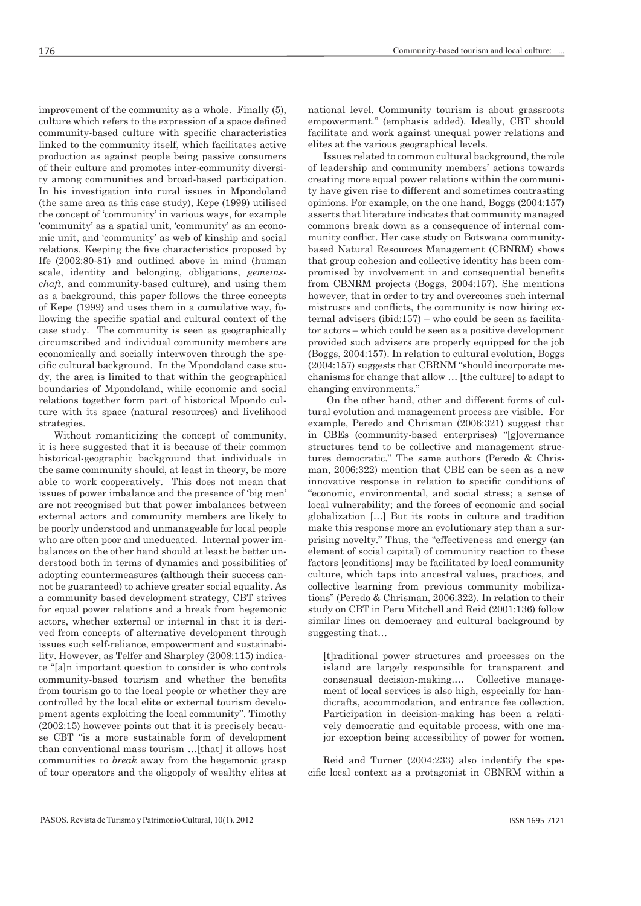improvement of the community as a whole. Finally (5), culture which refers to the expression of a space defined community-based culture with specific characteristics linked to the community itself, which facilitates active production as against people being passive consumers of their culture and promotes inter-community diversity among communities and broad-based participation. In his investigation into rural issues in Mpondoland (the same area as this case study), Kepe (1999) utilised the concept of 'community' in various ways, for example 'community' as a spatial unit, 'community' as an economic unit, and 'community' as web of kinship and social relations. Keeping the five characteristics proposed by Ife (2002:80-81) and outlined above in mind (human scale, identity and belonging, obligations, *gemeinschaft*, and community-based culture), and using them as a background, this paper follows the three concepts of Kepe (1999) and uses them in a cumulative way, following the specific spatial and cultural context of the case study. The community is seen as geographically circumscribed and individual community members are economically and socially interwoven through the specific cultural background. In the Mpondoland case study, the area is limited to that within the geographical boundaries of Mpondoland, while economic and social relations together form part of historical Mpondo culture with its space (natural resources) and livelihood strategies.

Without romanticizing the concept of community, it is here suggested that it is because of their common historical-geographic background that individuals in the same community should, at least in theory, be more able to work cooperatively. This does not mean that issues of power imbalance and the presence of 'big men' are not recognised but that power imbalances between external actors and community members are likely to be poorly understood and unmanageable for local people who are often poor and uneducated. Internal power imbalances on the other hand should at least be better understood both in terms of dynamics and possibilities of adopting countermeasures (although their success cannot be guaranteed) to achieve greater social equality. As a community based development strategy, CBT strives for equal power relations and a break from hegemonic actors, whether external or internal in that it is derived from concepts of alternative development through issues such self-reliance, empowerment and sustainability. However, as Telfer and Sharpley (2008:115) indicate "[a]n important question to consider is who controls community-based tourism and whether the benefits from tourism go to the local people or whether they are controlled by the local elite or external tourism development agents exploiting the local community". Timothy (2002:15) however points out that it is precisely because CBT "is a more sustainable form of development than conventional mass tourism …[that] it allows host communities to *break* away from the hegemonic grasp of tour operators and the oligopoly of wealthy elites at national level. Community tourism is about grassroots empowerment." (emphasis added). Ideally, CBT should facilitate and work against unequal power relations and elites at the various geographical levels.

Issues related to common cultural background, the role of leadership and community members' actions towards creating more equal power relations within the community have given rise to different and sometimes contrasting opinions. For example, on the one hand, Boggs (2004:157) asserts that literature indicates that community managed commons break down as a consequence of internal community conflict. Her case study on Botswana communitybased Natural Resources Management (CBNRM) shows that group cohesion and collective identity has been compromised by involvement in and consequential benefits from CBNRM projects (Boggs, 2004:157). She mentions however, that in order to try and overcomes such internal mistrusts and conflicts, the community is now hiring external advisers (ibid:157) – who could be seen as facilitator actors – which could be seen as a positive development provided such advisers are properly equipped for the job (Boggs, 2004:157). In relation to cultural evolution, Boggs (2004:157) suggests that CBRNM "should incorporate mechanisms for change that allow … [the culture] to adapt to changing environments."

 On the other hand, other and different forms of cultural evolution and management process are visible. For example, Peredo and Chrisman (2006:321) suggest that in CBEs (community-based enterprises) "[g]overnance structures tend to be collective and management structures democratic." The same authors (Peredo & Chrisman, 2006:322) mention that CBE can be seen as a new innovative response in relation to specific conditions of "economic, environmental, and social stress; a sense of local vulnerability; and the forces of economic and social globalization […] But its roots in culture and tradition make this response more an evolutionary step than a surprising novelty." Thus, the "effectiveness and energy (an element of social capital) of community reaction to these factors [conditions] may be facilitated by local community culture, which taps into ancestral values, practices, and collective learning from previous community mobilizations" (Peredo & Chrisman, 2006:322). In relation to their study on CBT in Peru Mitchell and Reid (2001:136) follow similar lines on democracy and cultural background by suggesting that…

[t]raditional power structures and processes on the island are largely responsible for transparent and consensual decision-making.… Collective management of local services is also high, especially for handicrafts, accommodation, and entrance fee collection. Participation in decision-making has been a relatively democratic and equitable process, with one major exception being accessibility of power for women.

Reid and Turner (2004:233) also indentify the specific local context as a protagonist in CBNRM within a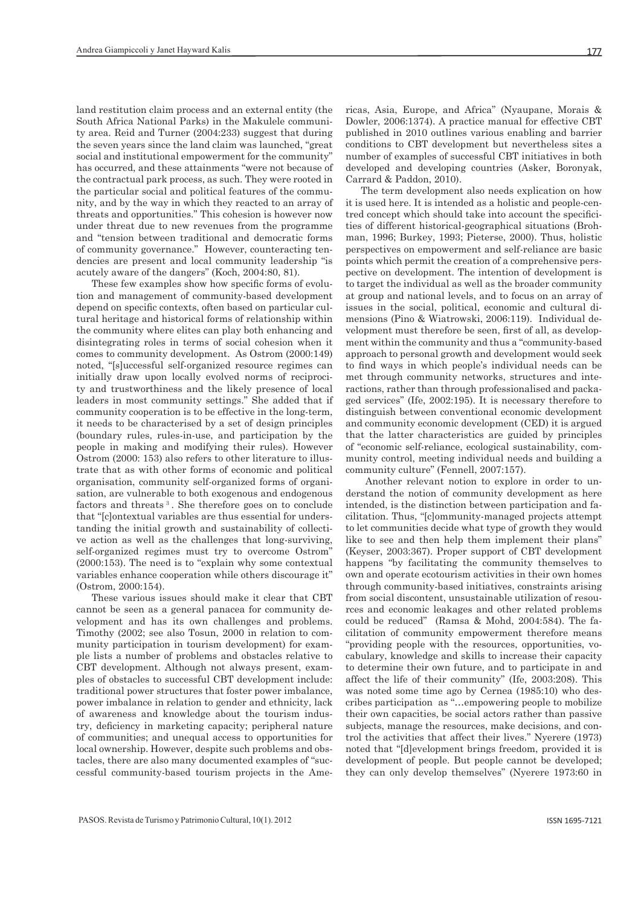land restitution claim process and an external entity (the South Africa National Parks) in the Makulele community area. Reid and Turner (2004:233) suggest that during the seven years since the land claim was launched, "great social and institutional empowerment for the community" has occurred, and these attainments "were not because of the contractual park process, as such. They were rooted in the particular social and political features of the community, and by the way in which they reacted to an array of threats and opportunities." This cohesion is however now under threat due to new revenues from the programme and "tension between traditional and democratic forms of community governance." However, counteracting tendencies are present and local community leadership "is acutely aware of the dangers" (Koch, 2004:80, 81).

These few examples show how specific forms of evolution and management of community-based development depend on specific contexts, often based on particular cultural heritage and historical forms of relationship within the community where elites can play both enhancing and disintegrating roles in terms of social cohesion when it comes to community development. As Ostrom (2000:149) noted, "[s]uccessful self-organized resource regimes can initially draw upon locally evolved norms of reciprocity and trustworthiness and the likely presence of local leaders in most community settings." She added that if community cooperation is to be effective in the long-term, it needs to be characterised by a set of design principles (boundary rules, rules-in-use, and participation by the people in making and modifying their rules). However Ostrom (2000: 153) also refers to other literature to illustrate that as with other forms of economic and political organisation, community self-organized forms of organisation, are vulnerable to both exogenous and endogenous factors and threats 3 . She therefore goes on to conclude that "[c]ontextual variables are thus essential for understanding the initial growth and sustainability of collective action as well as the challenges that long-surviving, self-organized regimes must try to overcome Ostrom" (2000:153). The need is to "explain why some contextual variables enhance cooperation while others discourage it" (Ostrom, 2000:154).

These various issues should make it clear that CBT cannot be seen as a general panacea for community development and has its own challenges and problems. Timothy (2002; see also Tosun, 2000 in relation to community participation in tourism development) for example lists a number of problems and obstacles relative to CBT development. Although not always present, examples of obstacles to successful CBT development include: traditional power structures that foster power imbalance, power imbalance in relation to gender and ethnicity, lack of awareness and knowledge about the tourism industry, deficiency in marketing capacity; peripheral nature of communities; and unequal access to opportunities for local ownership. However, despite such problems and obstacles, there are also many documented examples of "successful community-based tourism projects in the Americas, Asia, Europe, and Africa" (Nyaupane, Morais & Dowler, 2006:1374). A practice manual for effective CBT published in 2010 outlines various enabling and barrier conditions to CBT development but nevertheless sites a number of examples of successful CBT initiatives in both developed and developing countries (Asker, Boronyak, Carrard & Paddon, 2010).

The term development also needs explication on how it is used here. It is intended as a holistic and people-centred concept which should take into account the specificities of different historical-geographical situations (Brohman, 1996; Burkey, 1993; Pieterse, 2000). Thus, holistic perspectives on empowerment and self-reliance are basic points which permit the creation of a comprehensive perspective on development. The intention of development is to target the individual as well as the broader community at group and national levels, and to focus on an array of issues in the social, political, economic and cultural dimensions (Pino & Wiatrowski, 2006:119). Individual development must therefore be seen, first of all, as development within the community and thus a "community-based approach to personal growth and development would seek to find ways in which people's individual needs can be met through community networks, structures and interactions, rather than through professionalised and packaged services" (Ife, 2002:195). It is necessary therefore to distinguish between conventional economic development and community economic development (CED) it is argued that the latter characteristics are guided by principles of "economic self-reliance, ecological sustainability, community control, meeting individual needs and building a community culture" (Fennell, 2007:157).

 Another relevant notion to explore in order to understand the notion of community development as here intended, is the distinction between participation and facilitation. Thus, "[c]ommunity-managed projects attempt to let communities decide what type of growth they would like to see and then help them implement their plans" (Keyser, 2003:367). Proper support of CBT development happens "by facilitating the community themselves to own and operate ecotourism activities in their own homes through community-based initiatives, constraints arising from social discontent, unsustainable utilization of resources and economic leakages and other related problems could be reduced" (Ramsa & Mohd, 2004:584). The facilitation of community empowerment therefore means "providing people with the resources, opportunities, vocabulary, knowledge and skills to increase their capacity to determine their own future, and to participate in and affect the life of their community" (Ife, 2003:208). This was noted some time ago by Cernea (1985:10) who describes participation as "…empowering people to mobilize their own capacities, be social actors rather than passive subjects, manage the resources, make decisions, and control the activities that affect their lives." Nyerere (1973) noted that "[d]evelopment brings freedom, provided it is development of people. But people cannot be developed; they can only develop themselves" (Nyerere 1973:60 in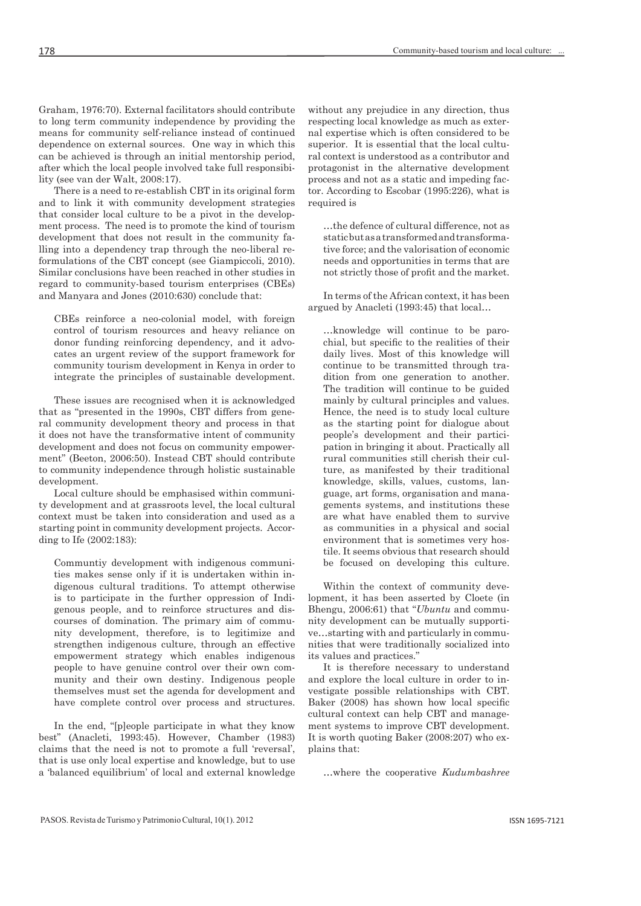Graham, 1976:70). External facilitators should contribute to long term community independence by providing the means for community self-reliance instead of continued dependence on external sources. One way in which this can be achieved is through an initial mentorship period, after which the local people involved take full responsibility (see van der Walt, 2008:17).

There is a need to re-establish CBT in its original form and to link it with community development strategies that consider local culture to be a pivot in the development process. The need is to promote the kind of tourism development that does not result in the community falling into a dependency trap through the neo-liberal reformulations of the CBT concept (see Giampiccoli, 2010). Similar conclusions have been reached in other studies in regard to community-based tourism enterprises (CBEs) and Manyara and Jones (2010:630) conclude that:

CBEs reinforce a neo-colonial model, with foreign control of tourism resources and heavy reliance on donor funding reinforcing dependency, and it advocates an urgent review of the support framework for community tourism development in Kenya in order to integrate the principles of sustainable development.

These issues are recognised when it is acknowledged that as "presented in the 1990s, CBT differs from general community development theory and process in that it does not have the transformative intent of community development and does not focus on community empowerment" (Beeton, 2006:50). Instead CBT should contribute to community independence through holistic sustainable development.

Local culture should be emphasised within community development and at grassroots level, the local cultural context must be taken into consideration and used as a starting point in community development projects. According to Ife (2002:183):

Communtiy development with indigenous communities makes sense only if it is undertaken within indigenous cultural traditions. To attempt otherwise is to participate in the further oppression of Indigenous people, and to reinforce structures and discourses of domination. The primary aim of community development, therefore, is to legitimize and strengthen indigenous culture, through an effective empowerment strategy which enables indigenous people to have genuine control over their own community and their own destiny. Indigenous people themselves must set the agenda for development and have complete control over process and structures.

In the end, "[p]eople participate in what they know best" (Anacleti, 1993:45). However, Chamber (1983) claims that the need is not to promote a full 'reversal', that is use only local expertise and knowledge, but to use a 'balanced equilibrium' of local and external knowledge without any prejudice in any direction, thus respecting local knowledge as much as external expertise which is often considered to be superior. It is essential that the local cultural context is understood as a contributor and protagonist in the alternative development process and not as a static and impeding factor. According to Escobar (1995:226), what is required is

…the defence of cultural difference, not as static but as a transformed and transformative force; and the valorisation of economic needs and opportunities in terms that are not strictly those of profit and the market.

In terms of the African context, it has been argued by Anacleti (1993:45) that local…

…knowledge will continue to be parochial, but specific to the realities of their daily lives. Most of this knowledge will continue to be transmitted through tradition from one generation to another. The tradition will continue to be guided mainly by cultural principles and values. Hence, the need is to study local culture as the starting point for dialogue about people's development and their participation in bringing it about. Practically all rural communities still cherish their culture, as manifested by their traditional knowledge, skills, values, customs, language, art forms, organisation and managements systems, and institutions these are what have enabled them to survive as communities in a physical and social environment that is sometimes very hostile. It seems obvious that research should be focused on developing this culture.

Within the context of community development, it has been asserted by Cloete (in Bhengu, 2006:61) that "*Ubuntu* and community development can be mutually supportive…starting with and particularly in communities that were traditionally socialized into its values and practices."

It is therefore necessary to understand and explore the local culture in order to investigate possible relationships with CBT. Baker (2008) has shown how local specific cultural context can help CBT and management systems to improve CBT development. It is worth quoting Baker (2008:207) who explains that:

…where the cooperative *Kudumbashree*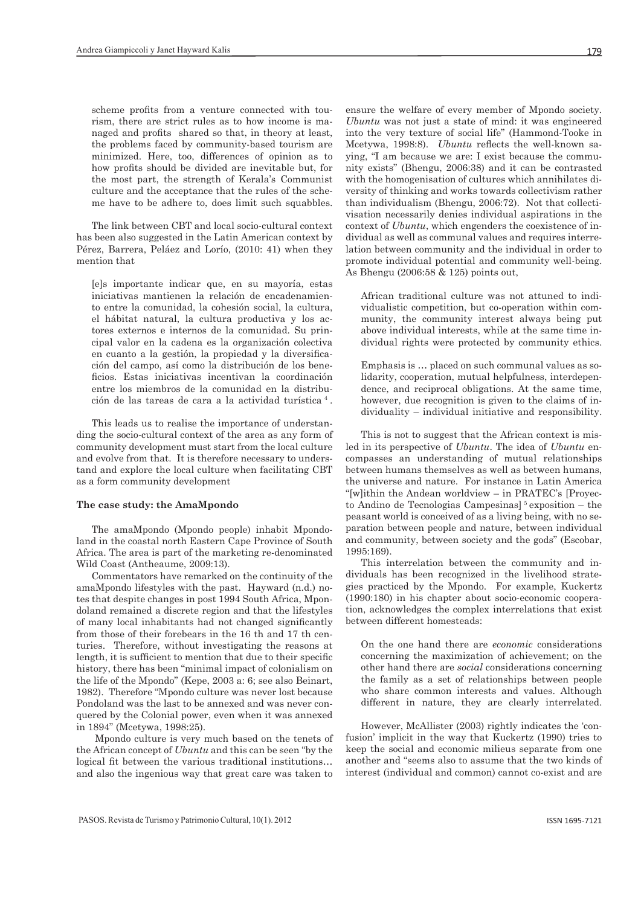scheme profits from a venture connected with tourism, there are strict rules as to how income is managed and profits shared so that, in theory at least, the problems faced by community-based tourism are minimized. Here, too, differences of opinion as to how profits should be divided are inevitable but, for the most part, the strength of Kerala's Communist culture and the acceptance that the rules of the scheme have to be adhere to, does limit such squabbles.

The link between CBT and local socio-cultural context has been also suggested in the Latin American context by Pérez, Barrera, Peláez and Lorío, (2010: 41) when they mention that

[e]s importante indicar que, en su mayoría, estas iniciativas mantienen la relación de encadenamiento entre la comunidad, la cohesión social, la cultura, el hábitat natural, la cultura productiva y los actores externos e internos de la comunidad. Su principal valor en la cadena es la organización colectiva en cuanto a la gestión, la propiedad y la diversificación del campo, así como la distribución de los beneficios. Estas iniciativas incentivan la coordinación entre los miembros de la comunidad en la distribución de las tareas de cara a la actividad turística 4 .

This leads us to realise the importance of understanding the socio-cultural context of the area as any form of community development must start from the local culture and evolve from that. It is therefore necessary to understand and explore the local culture when facilitating CBT as a form community development

#### **The case study: the AmaMpondo**

The amaMpondo (Mpondo people) inhabit Mpondoland in the coastal north Eastern Cape Province of South Africa. The area is part of the marketing re-denominated Wild Coast (Antheaume, 2009:13).

Commentators have remarked on the continuity of the amaMpondo lifestyles with the past. Hayward (n.d.) notes that despite changes in post 1994 South Africa, Mpondoland remained a discrete region and that the lifestyles of many local inhabitants had not changed significantly from those of their forebears in the 16 th and 17 th centuries. Therefore, without investigating the reasons at length, it is sufficient to mention that due to their specific history, there has been "minimal impact of colonialism on the life of the Mpondo" (Kepe, 2003 a: 6; see also Beinart, 1982). Therefore "Mpondo culture was never lost because Pondoland was the last to be annexed and was never conquered by the Colonial power, even when it was annexed in 1894" (Mcetywa, 1998:25).

 Mpondo culture is very much based on the tenets of the African concept of *Ubuntu* and this can be seen "by the logical fit between the various traditional institutions… and also the ingenious way that great care was taken to

ensure the welfare of every member of Mpondo society. *Ubuntu* was not just a state of mind: it was engineered into the very texture of social life" (Hammond-Tooke in Mcetywa, 1998:8). *Ubuntu* reflects the well-known saying, "I am because we are: I exist because the community exists" (Bhengu, 2006:38) and it can be contrasted with the homogenisation of cultures which annihilates diversity of thinking and works towards collectivism rather than individualism (Bhengu, 2006:72). Not that collectivisation necessarily denies individual aspirations in the context of *Ubuntu*, which engenders the coexistence of individual as well as communal values and requires interrelation between community and the individual in order to promote individual potential and community well-being. As Bhengu (2006:58 & 125) points out,

African traditional culture was not attuned to individualistic competition, but co-operation within community, the community interest always being put above individual interests, while at the same time individual rights were protected by community ethics.

Emphasis is … placed on such communal values as solidarity, cooperation, mutual helpfulness, interdependence, and reciprocal obligations. At the same time, however, due recognition is given to the claims of individuality – individual initiative and responsibility.

This is not to suggest that the African context is misled in its perspective of *Ubuntu*. The idea of *Ubuntu* encompasses an understanding of mutual relationships between humans themselves as well as between humans, the universe and nature. For instance in Latin America "[w]ithin the Andean worldview – in PRATEC's [Proyecto Andino de Tecnologias Campesinas $\frac{5}{3}$  exposition – the peasant world is conceived of as a living being, with no separation between people and nature, between individual and community, between society and the gods" (Escobar, 1995:169).

This interrelation between the community and individuals has been recognized in the livelihood strategies practiced by the Mpondo. For example, Kuckertz (1990:180) in his chapter about socio-economic cooperation, acknowledges the complex interrelations that exist between different homesteads:

On the one hand there are *economic* considerations concerning the maximization of achievement; on the other hand there are *social* considerations concerning the family as a set of relationships between people who share common interests and values. Although different in nature, they are clearly interrelated.

However, McAllister (2003) rightly indicates the 'confusion' implicit in the way that Kuckertz (1990) tries to keep the social and economic milieus separate from one another and "seems also to assume that the two kinds of interest (individual and common) cannot co-exist and are

179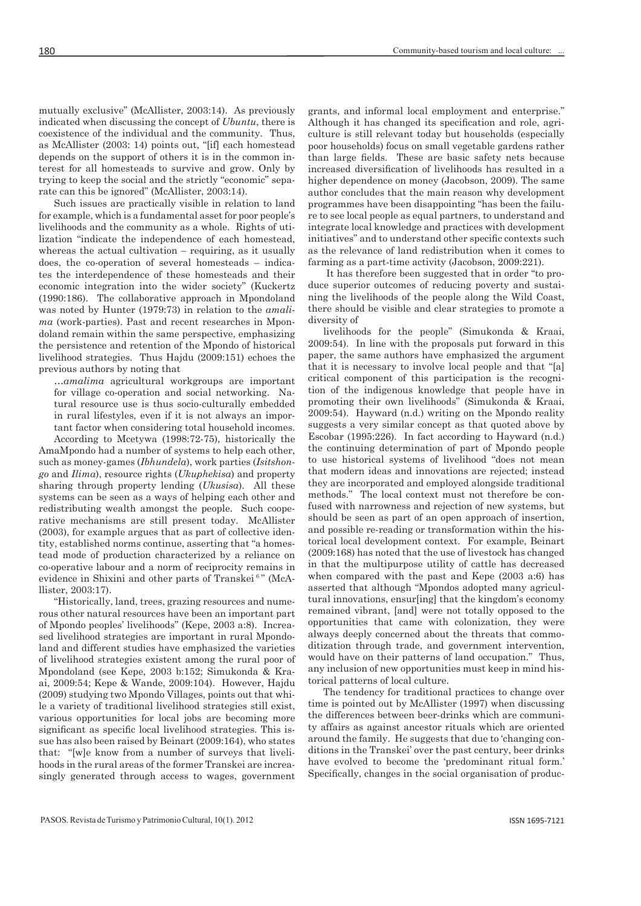mutually exclusive" (McAllister, 2003:14). As previously indicated when discussing the concept of *Ubuntu*, there is coexistence of the individual and the community. Thus, as McAllister (2003: 14) points out, "[if] each homestead depends on the support of others it is in the common interest for all homesteads to survive and grow. Only by trying to keep the social and the strictly "economic" separate can this be ignored" (McAllister, 2003:14).

Such issues are practically visible in relation to land for example, which is a fundamental asset for poor people's livelihoods and the community as a whole. Rights of utilization "indicate the independence of each homestead, whereas the actual cultivation – requiring, as it usually does, the co-operation of several homesteads – indicates the interdependence of these homesteads and their economic integration into the wider society" (Kuckertz (1990:186). The collaborative approach in Mpondoland was noted by Hunter (1979:73) in relation to the *amalima* (work-parties). Past and recent researches in Mpondoland remain within the same perspective, emphasizing the persistence and retention of the Mpondo of historical livelihood strategies. Thus Hajdu (2009:151) echoes the previous authors by noting that

…*amalima* agricultural workgroups are important for village co-operation and social networking. Natural resource use is thus socio-culturally embedded in rural lifestyles, even if it is not always an important factor when considering total household incomes.

According to Mcetywa (1998:72-75), historically the AmaMpondo had a number of systems to help each other, such as money-games (*Ibhundela*), work parties (*Isitshongo* and *Ilima*), resource rights (*Ukuphekisa*) and property sharing through property lending (*Ukusisa*). All these systems can be seen as a ways of helping each other and redistributing wealth amongst the people. Such cooperative mechanisms are still present today. McAllister (2003), for example argues that as part of collective identity, established norms continue, asserting that "a homestead mode of production characterized by a reliance on co-operative labour and a norm of reciprocity remains in evidence in Shixini and other parts of Transkei<sup>6</sup>" (McAllister, 2003:17).

"Historically, land, trees, grazing resources and numerous other natural resources have been an important part of Mpondo peoples' livelihoods" (Kepe, 2003 a:8). Increased livelihood strategies are important in rural Mpondoland and different studies have emphasized the varieties of livelihood strategies existent among the rural poor of Mpondoland (see Kepe, 2003 b:152; Simukonda & Kraai, 2009:54; Kepe & Wande, 2009:104). However, Hajdu (2009) studying two Mpondo Villages, points out that while a variety of traditional livelihood strategies still exist, various opportunities for local jobs are becoming more significant as specific local livelihood strategies. This issue has also been raised by Beinart (2009:164), who states that: "[w]e know from a number of surveys that livelihoods in the rural areas of the former Transkei are increasingly generated through access to wages, government

grants, and informal local employment and enterprise." Although it has changed its specification and role, agriculture is still relevant today but households (especially poor households) focus on small vegetable gardens rather than large fields. These are basic safety nets because increased diversification of livelihoods has resulted in a higher dependence on money (Jacobson, 2009). The same author concludes that the main reason why development programmes have been disappointing "has been the failure to see local people as equal partners, to understand and integrate local knowledge and practices with development initiatives" and to understand other specific contexts such as the relevance of land redistribution when it comes to farming as a part-time activity (Jacobson, 2009:221).

 It has therefore been suggested that in order "to produce superior outcomes of reducing poverty and sustaining the livelihoods of the people along the Wild Coast, there should be visible and clear strategies to promote a diversity of

livelihoods for the people" (Simukonda & Kraai, 2009:54). In line with the proposals put forward in this paper, the same authors have emphasized the argument that it is necessary to involve local people and that "[a] critical component of this participation is the recognition of the indigenous knowledge that people have in promoting their own livelihoods" (Simukonda & Kraai, 2009:54). Hayward (n.d.) writing on the Mpondo reality suggests a very similar concept as that quoted above by Escobar (1995:226). In fact according to Hayward (n.d.) the continuing determination of part of Mpondo people to use historical systems of livelihood "does not mean that modern ideas and innovations are rejected; instead they are incorporated and employed alongside traditional methods." The local context must not therefore be confused with narrowness and rejection of new systems, but should be seen as part of an open approach of insertion, and possible re-reading or transformation within the historical local development context. For example, Beinart (2009:168) has noted that the use of livestock has changed in that the multipurpose utility of cattle has decreased when compared with the past and Kepe (2003 a:6) has asserted that although "Mpondos adopted many agricultural innovations, ensur[ing] that the kingdom's economy remained vibrant, [and] were not totally opposed to the opportunities that came with colonization, they were always deeply concerned about the threats that commoditization through trade, and government intervention, would have on their patterns of land occupation." Thus, any inclusion of new opportunities must keep in mind historical patterns of local culture.

The tendency for traditional practices to change over time is pointed out by McAllister (1997) when discussing the differences between beer-drinks which are community affairs as against ancestor rituals which are oriented around the family. He suggests that due to 'changing conditions in the Transkei' over the past century, beer drinks have evolved to become the 'predominant ritual form.' Specifically, changes in the social organisation of produc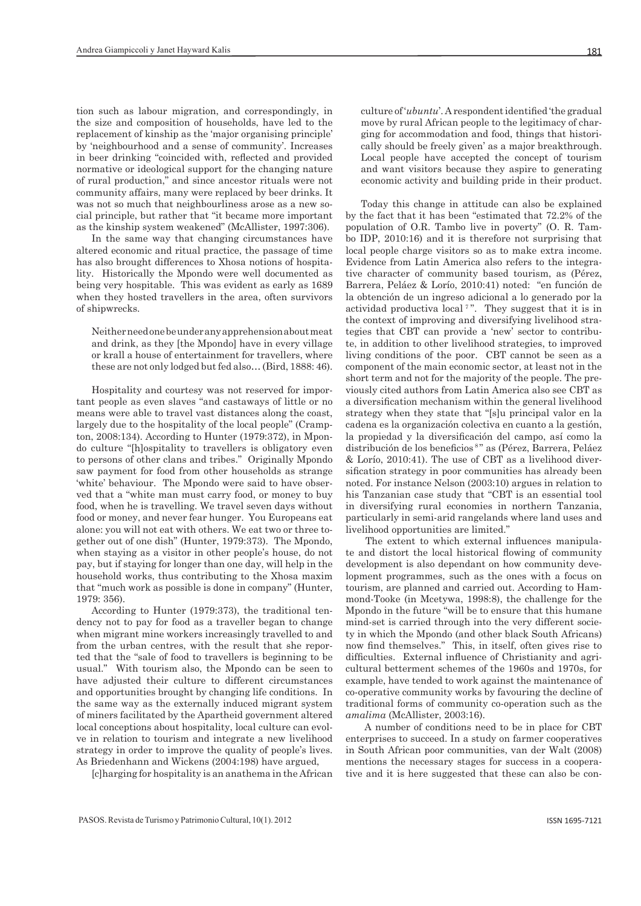tion such as labour migration, and correspondingly, in the size and composition of households, have led to the replacement of kinship as the 'major organising principle' by 'neighbourhood and a sense of community'. Increases in beer drinking "coincided with, reflected and provided normative or ideological support for the changing nature of rural production," and since ancestor rituals were not community affairs, many were replaced by beer drinks. It was not so much that neighbourliness arose as a new social principle, but rather that "it became more important as the kinship system weakened" (McAllister, 1997:306).

In the same way that changing circumstances have altered economic and ritual practice, the passage of time has also brought differences to Xhosa notions of hospitality. Historically the Mpondo were well documented as being very hospitable. This was evident as early as 1689 when they hosted travellers in the area, often survivors of shipwrecks.

Neither need one be under any apprehension about meat and drink, as they [the Mpondo] have in every village or krall a house of entertainment for travellers, where these are not only lodged but fed also… (Bird, 1888: 46).

Hospitality and courtesy was not reserved for important people as even slaves "and castaways of little or no means were able to travel vast distances along the coast, largely due to the hospitality of the local people" (Crampton, 2008:134). According to Hunter (1979:372), in Mpondo culture "[h]ospitality to travellers is obligatory even to persons of other clans and tribes." Originally Mpondo saw payment for food from other households as strange 'white' behaviour. The Mpondo were said to have observed that a "white man must carry food, or money to buy food, when he is travelling. We travel seven days without food or money, and never fear hunger. You Europeans eat alone: you will not eat with others. We eat two or three together out of one dish" (Hunter, 1979:373). The Mpondo, when staying as a visitor in other people's house, do not pay, but if staying for longer than one day, will help in the household works, thus contributing to the Xhosa maxim that "much work as possible is done in company" (Hunter, 1979: 356).

According to Hunter (1979:373), the traditional tendency not to pay for food as a traveller began to change when migrant mine workers increasingly travelled to and from the urban centres, with the result that she reported that the "sale of food to travellers is beginning to be usual." With tourism also, the Mpondo can be seen to have adjusted their culture to different circumstances and opportunities brought by changing life conditions. In the same way as the externally induced migrant system of miners facilitated by the Apartheid government altered local conceptions about hospitality, local culture can evolve in relation to tourism and integrate a new livelihood strategy in order to improve the quality of people's lives. As Briedenhann and Wickens (2004:198) have argued,

[c]harging for hospitality is an anathema in the African

culture of '*ubuntu*'. A respondent identified 'the gradual move by rural African people to the legitimacy of charging for accommodation and food, things that historically should be freely given' as a major breakthrough. Local people have accepted the concept of tourism and want visitors because they aspire to generating economic activity and building pride in their product.

Today this change in attitude can also be explained by the fact that it has been "estimated that 72.2% of the population of O.R. Tambo live in poverty" (O. R. Tambo IDP, 2010:16) and it is therefore not surprising that local people charge visitors so as to make extra income. Evidence from Latin America also refers to the integrative character of community based tourism, as (Pérez, Barrera, Peláez & Lorío, 2010:41) noted: "en función de la obtención de un ingreso adicional a lo generado por la actividad productiva local<sup> $7$ </sup>". They suggest that it is in the context of improving and diversifying livelihood strategies that CBT can provide a 'new' sector to contribute, in addition to other livelihood strategies, to improved living conditions of the poor. CBT cannot be seen as a component of the main economic sector, at least not in the short term and not for the majority of the people. The previously cited authors from Latin America also see CBT as a diversification mechanism within the general livelihood strategy when they state that "[s]u principal valor en la cadena es la organización colectiva en cuanto a la gestión, la propiedad y la diversificación del campo, así como la distribución de los beneficios<sup>8"</sup> as (Pérez, Barrera, Peláez & Lorío, 2010:41). The use of CBT as a livelihood diversification strategy in poor communities has already been noted. For instance Nelson (2003:10) argues in relation to his Tanzanian case study that "CBT is an essential tool in diversifying rural economies in northern Tanzania, particularly in semi-arid rangelands where land uses and livelihood opportunities are limited."

 The extent to which external influences manipulate and distort the local historical flowing of community development is also dependant on how community development programmes, such as the ones with a focus on tourism, are planned and carried out. According to Hammond-Tooke (in Mcetywa, 1998:8), the challenge for the Mpondo in the future "will be to ensure that this humane mind-set is carried through into the very different society in which the Mpondo (and other black South Africans) now find themselves." This, in itself, often gives rise to difficulties. External influence of Christianity and agricultural betterment schemes of the 1960s and 1970s, for example, have tended to work against the maintenance of co-operative community works by favouring the decline of traditional forms of community co-operation such as the *amalima* (McAllister, 2003:16).

 A number of conditions need to be in place for CBT enterprises to succeed. In a study on farmer cooperatives in South African poor communities, van der Walt (2008) mentions the necessary stages for success in a cooperative and it is here suggested that these can also be con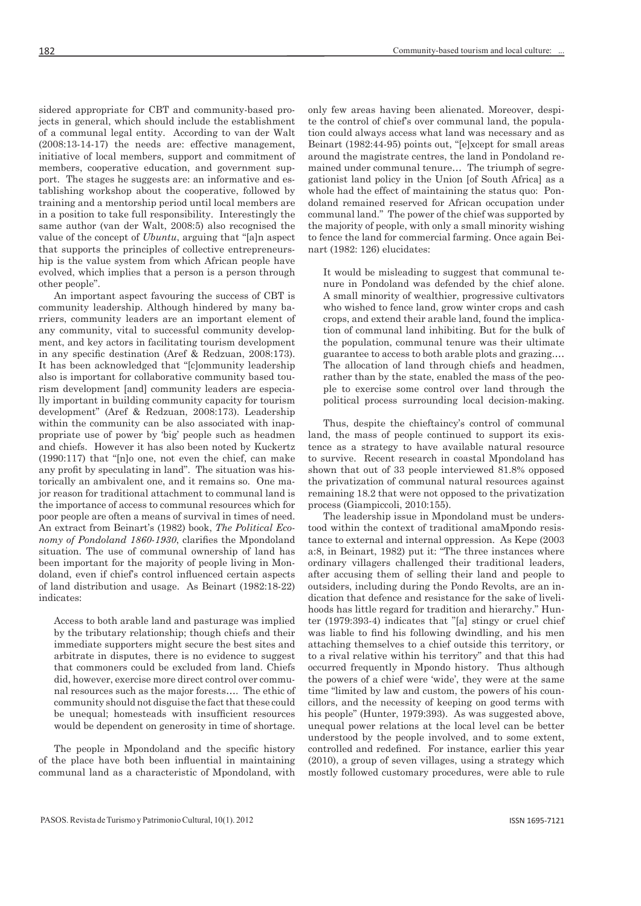sidered appropriate for CBT and community-based projects in general, which should include the establishment of a communal legal entity. According to van der Walt (2008:13-14-17) the needs are: effective management, initiative of local members, support and commitment of members, cooperative education, and government support. The stages he suggests are: an informative and establishing workshop about the cooperative, followed by training and a mentorship period until local members are in a position to take full responsibility. Interestingly the same author (van der Walt, 2008:5) also recognised the value of the concept of *Ubuntu*, arguing that "[a]n aspect that supports the principles of collective entrepreneurship is the value system from which African people have evolved, which implies that a person is a person through other people".

An important aspect favouring the success of CBT is community leadership. Although hindered by many barriers, community leaders are an important element of any community, vital to successful community development, and key actors in facilitating tourism development in any specific destination (Aref & Redzuan, 2008:173). It has been acknowledged that "[c]ommunity leadership also is important for collaborative community based tourism development [and] community leaders are especially important in building community capacity for tourism development" (Aref & Redzuan, 2008:173). Leadership within the community can be also associated with inappropriate use of power by 'big' people such as headmen and chiefs. However it has also been noted by Kuckertz (1990:117) that "[n]o one, not even the chief, can make any profit by speculating in land". The situation was historically an ambivalent one, and it remains so. One major reason for traditional attachment to communal land is the importance of access to communal resources which for poor people are often a means of survival in times of need. An extract from Beinart's (1982) book, *The Political Economy of Pondoland 1860-1930*, clarifies the Mpondoland situation. The use of communal ownership of land has been important for the majority of people living in Mondoland, even if chief's control influenced certain aspects of land distribution and usage. As Beinart (1982:18-22) indicates:

Access to both arable land and pasturage was implied by the tributary relationship; though chiefs and their immediate supporters might secure the best sites and arbitrate in disputes, there is no evidence to suggest that commoners could be excluded from land. Chiefs did, however, exercise more direct control over communal resources such as the major forests…. The ethic of community should not disguise the fact that these could be unequal; homesteads with insufficient resources would be dependent on generosity in time of shortage.

The people in Mpondoland and the specific history of the place have both been influential in maintaining communal land as a characteristic of Mpondoland, with

only few areas having been alienated. Moreover, despite the control of chief's over communal land, the population could always access what land was necessary and as Beinart (1982:44-95) points out, "[e]xcept for small areas around the magistrate centres, the land in Pondoland remained under communal tenure… The triumph of segregationist land policy in the Union [of South Africa] as a whole had the effect of maintaining the status quo: Pondoland remained reserved for African occupation under communal land." The power of the chief was supported by the majority of people, with only a small minority wishing to fence the land for commercial farming. Once again Beinart (1982: 126) elucidates:

It would be misleading to suggest that communal tenure in Pondoland was defended by the chief alone. A small minority of wealthier, progressive cultivators who wished to fence land, grow winter crops and cash crops, and extend their arable land, found the implication of communal land inhibiting. But for the bulk of the population, communal tenure was their ultimate guarantee to access to both arable plots and grazing.… The allocation of land through chiefs and headmen, rather than by the state, enabled the mass of the people to exercise some control over land through the political process surrounding local decision-making.

Thus, despite the chieftaincy's control of communal land, the mass of people continued to support its existence as a strategy to have available natural resource to survive. Recent research in coastal Mpondoland has shown that out of 33 people interviewed 81.8% opposed the privatization of communal natural resources against remaining 18.2 that were not opposed to the privatization process (Giampiccoli, 2010:155).

The leadership issue in Mpondoland must be understood within the context of traditional amaMpondo resistance to external and internal oppression. As Kepe (2003 a:8, in Beinart, 1982) put it: "The three instances where ordinary villagers challenged their traditional leaders, after accusing them of selling their land and people to outsiders, including during the Pondo Revolts, are an indication that defence and resistance for the sake of livelihoods has little regard for tradition and hierarchy." Hunter (1979:393-4) indicates that "[a] stingy or cruel chief was liable to find his following dwindling, and his men attaching themselves to a chief outside this territory, or to a rival relative within his territory" and that this had occurred frequently in Mpondo history. Thus although the powers of a chief were 'wide', they were at the same time "limited by law and custom, the powers of his councillors, and the necessity of keeping on good terms with his people" (Hunter, 1979:393). As was suggested above, unequal power relations at the local level can be better understood by the people involved, and to some extent, controlled and redefined. For instance, earlier this year (2010), a group of seven villages, using a strategy which mostly followed customary procedures, were able to rule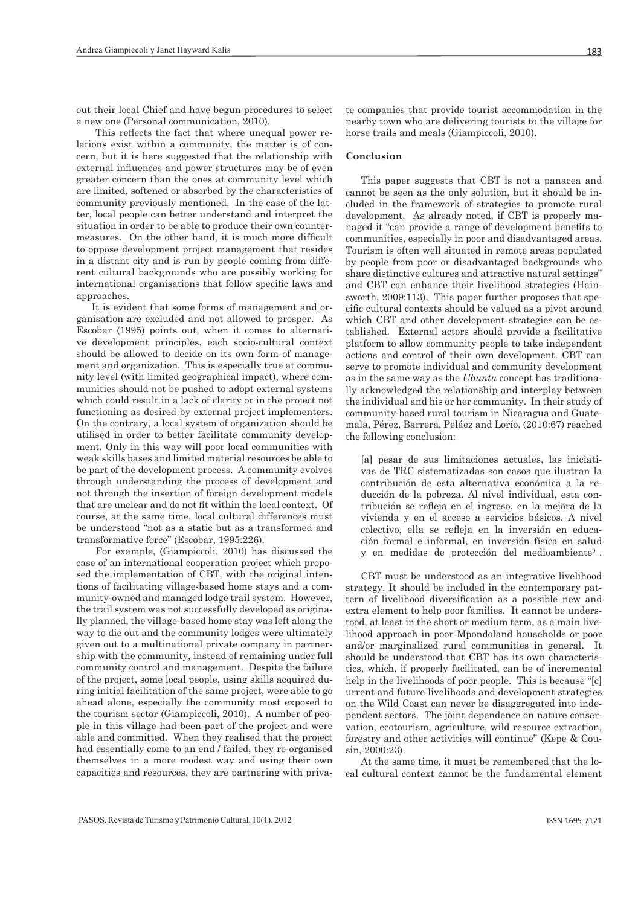out their local Chief and have begun procedures to select a new one (Personal communication, 2010).

 This reflects the fact that where unequal power relations exist within a community, the matter is of concern, but it is here suggested that the relationship with external influences and power structures may be of even greater concern than the ones at community level which are limited, softened or absorbed by the characteristics of community previously mentioned. In the case of the latter, local people can better understand and interpret the situation in order to be able to produce their own countermeasures. On the other hand, it is much more difficult to oppose development project management that resides in a distant city and is run by people coming from different cultural backgrounds who are possibly working for international organisations that follow specific laws and approaches.

It is evident that some forms of management and organisation are excluded and not allowed to prosper. As Escobar (1995) points out, when it comes to alternative development principles, each socio-cultural context should be allowed to decide on its own form of management and organization. This is especially true at community level (with limited geographical impact), where communities should not be pushed to adopt external systems which could result in a lack of clarity or in the project not functioning as desired by external project implementers. On the contrary, a local system of organization should be utilised in order to better facilitate community development. Only in this way will poor local communities with weak skills bases and limited material resources be able to be part of the development process. A community evolves through understanding the process of development and not through the insertion of foreign development models that are unclear and do not fit within the local context. Of course, at the same time, local cultural differences must be understood "not as a static but as a transformed and transformative force" (Escobar, 1995:226).

 For example, (Giampiccoli, 2010) has discussed the case of an international cooperation project which proposed the implementation of CBT, with the original intentions of facilitating village-based home stays and a community-owned and managed lodge trail system. However, the trail system was not successfully developed as originally planned, the village-based home stay was left along the way to die out and the community lodges were ultimately given out to a multinational private company in partnership with the community, instead of remaining under full community control and management. Despite the failure of the project, some local people, using skills acquired during initial facilitation of the same project, were able to go ahead alone, especially the community most exposed to the tourism sector (Giampiccoli, 2010). A number of people in this village had been part of the project and were able and committed. When they realised that the project had essentially come to an end / failed, they re-organised themselves in a more modest way and using their own capacities and resources, they are partnering with private companies that provide tourist accommodation in the nearby town who are delivering tourists to the village for horse trails and meals (Giampiccoli, 2010).

#### **Conclusion**

This paper suggests that CBT is not a panacea and cannot be seen as the only solution, but it should be included in the framework of strategies to promote rural development. As already noted, if CBT is properly managed it "can provide a range of development benefits to communities, especially in poor and disadvantaged areas. Tourism is often well situated in remote areas populated by people from poor or disadvantaged backgrounds who share distinctive cultures and attractive natural settings" and CBT can enhance their livelihood strategies (Hainsworth, 2009:113). This paper further proposes that specific cultural contexts should be valued as a pivot around which CBT and other development strategies can be established. External actors should provide a facilitative platform to allow community people to take independent actions and control of their own development. CBT can serve to promote individual and community development as in the same way as the *Ubuntu* concept has traditionally acknowledged the relationship and interplay between the individual and his or her community. In their study of community-based rural tourism in Nicaragua and Guatemala, Pérez, Barrera, Peláez and Lorío, (2010:67) reached the following conclusion:

[a] pesar de sus limitaciones actuales, las iniciativas de TRC sistematizadas son casos que ilustran la contribución de esta alternativa económica a la reducción de la pobreza. Al nivel individual, esta contribución se refleja en el ingreso, en la mejora de la vivienda y en el acceso a servicios básicos. A nivel colectivo, ella se refleja en la inversión en educación formal e informal, en inversión física en salud y en medidas de protección del medioambiente9 .

CBT must be understood as an integrative livelihood strategy. It should be included in the contemporary pattern of livelihood diversification as a possible new and extra element to help poor families. It cannot be understood, at least in the short or medium term, as a main livelihood approach in poor Mpondoland households or poor and/or marginalized rural communities in general. It should be understood that CBT has its own characteristics, which, if properly facilitated, can be of incremental help in the livelihoods of poor people. This is because "[c] urrent and future livelihoods and development strategies on the Wild Coast can never be disaggregated into independent sectors. The joint dependence on nature conservation, ecotourism, agriculture, wild resource extraction, forestry and other activities will continue" (Kepe & Cousin, 2000:23).

At the same time, it must be remembered that the local cultural context cannot be the fundamental element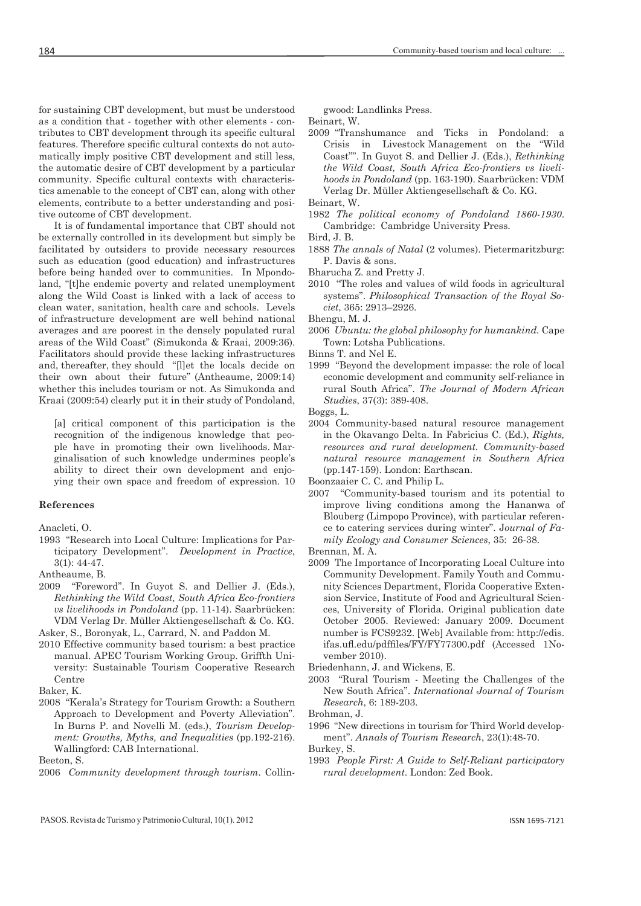for sustaining CBT development, but must be understood as a condition that - together with other elements - contributes to CBT development through its specific cultural features. Therefore specific cultural contexts do not automatically imply positive CBT development and still less, the automatic desire of CBT development by a particular community. Specific cultural contexts with characteristics amenable to the concept of CBT can, along with other elements, contribute to a better understanding and positive outcome of CBT development.

It is of fundamental importance that CBT should not be externally controlled in its development but simply be facilitated by outsiders to provide necessary resources such as education (good education) and infrastructures before being handed over to communities. In Mpondoland, "[t]he endemic poverty and related unemployment along the Wild Coast is linked with a lack of access to clean water, sanitation, health care and schools. Levels of infrastructure development are well behind national averages and are poorest in the densely populated rural areas of the Wild Coast" (Simukonda & Kraai, 2009:36). Facilitators should provide these lacking infrastructures and, thereafter, they should "[l]et the locals decide on their own about their future" (Antheaume, 2009:14) whether this includes tourism or not. As Simukonda and Kraai (2009:54) clearly put it in their study of Pondoland,

[a] critical component of this participation is the recognition of the indigenous knowledge that people have in promoting their own livelihoods. Marginalisation of such knowledge undermines people's ability to direct their own development and enjoying their own space and freedom of expression. 10

#### **References**

Anacleti, O.

- 1993 "Research into Local Culture: Implications for Participatory Development". *Development in Practice*, 3(1): 44-47.
- Antheaume, B.
- 2009 "Foreword". In Guyot S. and Dellier J. (Eds.), *Rethinking the Wild Coast, South Africa Eco-frontiers vs livelihoods in Pondoland* (pp. 11-14). Saarbrücken: VDM Verlag Dr. Müller Aktiengesellschaft & Co. KG.

Asker, S., Boronyak, L., Carrard, N. and Paddon M.

- 2010 Effective community based tourism: a best practice manual. APEC Tourism Working Group. Griffth University: Sustainable Tourism Cooperative Research Centre
- Baker, K.
- 2008 "Kerala's Strategy for Tourism Growth: a Southern Approach to Development and Poverty Alleviation". In Burns P. and Novelli M. (eds.), *Tourism Development: Growths, Myths, and Inequalities* (pp.192-216). Wallingford: CAB International.

Beeton, S.

gwood: Landlinks Press.

Beinart, W.

2009 "Transhumance and Ticks in Pondoland: a Crisis in Livestock Management on the "Wild Coast"". In Guyot S. and Dellier J. (Eds.), *Rethinking the Wild Coast, South Africa Eco-frontiers vs livelihoods in Pondoland* (pp. 163-190). Saarbrücken: VDM Verlag Dr. Müller Aktiengesellschaft & Co. KG. Beinart, W.

- 1982 *The political economy of Pondoland 1860-1930*. Cambridge: Cambridge University Press.
- Bird, J. B.
- 1888 *The annals of Natal* (2 volumes). Pietermaritzburg: P. Davis & sons.
- Bharucha Z. and Pretty J.
- 2010 "The roles and values of wild foods in agricultural systems". *Philosophical Transaction of the Royal Societ*, 365: 2913–2926.

Bhengu, M. J.

2006 *Ubuntu: the global philosophy for humankind.* Cape Town: Lotsha Publications.

Binns T. and Nel E.

1999 "Beyond the development impasse: the role of local economic development and community self-reliance in rural South Africa". *The Journal of Modern African Studies*, 37(3): 389-408.

Boggs, L.

2004 Community-based natural resource management in the Okavango Delta. In Fabricius C. (Ed.), *Rights, resources and rural development. Community-based natural resource management in Southern Africa* (pp.147-159). London: Earthscan.

Boonzaaier C. C. and Philip L.

- 2007 "Community-based tourism and its potential to improve living conditions among the Hananwa of Blouberg (Limpopo Province), with particular reference to catering services during winter". J*ournal of Family Ecology and Consumer Sciences*, 35: 26-38.
- Brennan, M. A.
- 2009 The Importance of Incorporating Local Culture into Community Development. Family Youth and Community Sciences Department, Florida Cooperative Extension Service, Institute of Food and Agricultural Sciences, University of Florida. Original publication date October 2005. Reviewed: January 2009. Document number is FCS9232. [Web] Available from: http://edis. ifas.ufl.edu/pdffiles/FY/FY77300.pdf (Accessed 1November 2010).
- Briedenhann, J. and Wickens, E.
- 2003 "Rural Tourism Meeting the Challenges of the New South Africa". *International Journal of Tourism Research*, 6: 189-203.

Brohman, J.

1996 "New directions in tourism for Third World development". *Annals of Tourism Research*, 23(1):48-70.

Burkey, S.

1993 *People First: A Guide to Self-Reliant participatory rural development*. London: Zed Book.

<sup>2006</sup> *Community development through tourism*. Collin-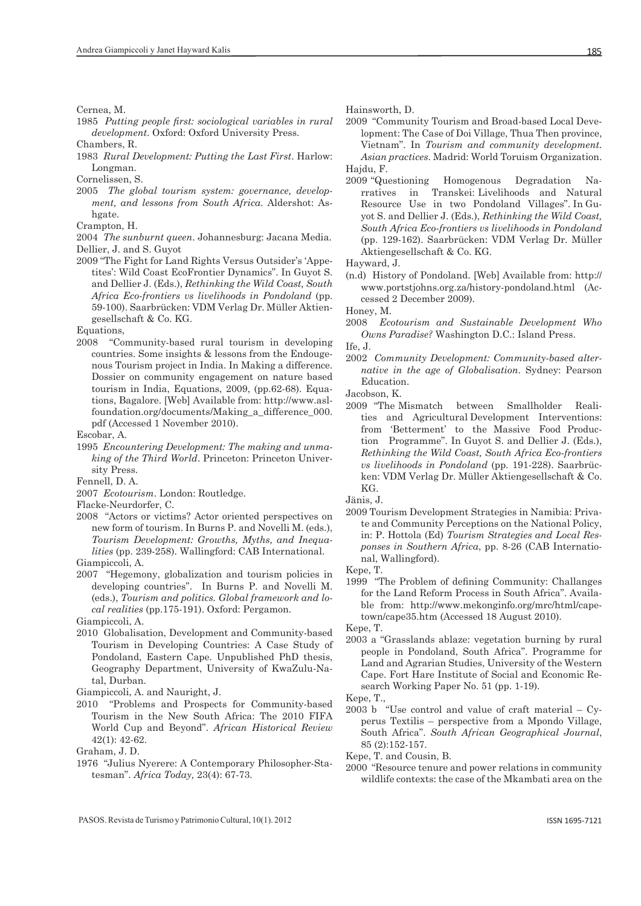Cernea, M.

1985 *Putting people first: sociological variables in rural development*. Oxford: Oxford University Press.

Chambers, R.

1983 *Rural Development: Putting the Last First*. Harlow: Longman.

Cornelissen, S.

2005 *The global tourism system: governance, development, and lessons from South Africa*. Aldershot: Ashgate.

Crampton, H.

- 2004 *The sunburnt queen*. Johannesburg: Jacana Media. Dellier, J. and S. Guyot
- 2009 "The Fight for Land Rights Versus Outsider's 'Appetites': Wild Coast EcoFrontier Dynamics". In Guyot S. and Dellier J. (Eds.), *Rethinking the Wild Coast, South Africa Eco-frontiers vs livelihoods in Pondoland* (pp. 59-100). Saarbrücken: VDM Verlag Dr. Müller Aktiengesellschaft & Co. KG.

Equations,

2008 "Community-based rural tourism in developing countries. Some insights & lessons from the Endougenous Tourism project in India. In Making a difference. Dossier on community engagement on nature based tourism in India, Equations, 2009, (pp.62-68). Equations, Bagalore. [Web] Available from: http://www.aslfoundation.org/documents/Making\_a\_difference\_000. pdf (Accessed 1 November 2010).

Escobar, A.

1995 *Encountering Development: The making and unmaking of the Third World*. Princeton: Princeton University Press.

Fennell, D. A.

2007 *Ecotourism*. London: Routledge.

Flacke-Neurdorfer, C.

2008 "Actors or victims? Actor oriented perspectives on new form of tourism. In Burns P. and Novelli M. (eds.), *Tourism Development: Growths, Myths, and Inequalities* (pp. 239-258). Wallingford: CAB International. Giampiccoli, A.

2007 "Hegemony, globalization and tourism policies in developing countries". In Burns P. and Novelli M. (eds.), *Tourism and politics. Global framework and local realities* (pp.175-191). Oxford: Pergamon.

Giampiccoli, A.

2010 Globalisation, Development and Community-based Tourism in Developing Countries: A Case Study of Pondoland, Eastern Cape. Unpublished PhD thesis, Geography Department, University of KwaZulu-Natal, Durban.

Giampiccoli, A. and Nauright, J.

2010 "Problems and Prospects for Community-based Tourism in the New South Africa: The 2010 FIFA World Cup and Beyond". *African Historical Review* 42(1): 42-62.

Graham, J. D.

1976 "Julius Nyerere: A Contemporary Philosopher-Statesman". *Africa Today,* 23(4): 67-73.

Hainsworth, D.

2009 "Community Tourism and Broad-based Local Development: The Case of Doi Village, Thua Then province, Vietnam". In *Tourism and community development. Asian practices*. Madrid: World Toruism Organization. Hajdu, F.

2009 "Questioning Homogenous Degradation Narratives in Transkei: Livelihoods and Natural Resource Use in two Pondoland Villages". In Guyot S. and Dellier J. (Eds.), *Rethinking the Wild Coast, South Africa Eco-frontiers vs livelihoods in Pondoland* (pp. 129-162). Saarbrücken: VDM Verlag Dr. Müller Aktiengesellschaft & Co. KG.

Hayward, J.

(n.d) History of Pondoland. [Web] Available from: http:// www.portstjohns.org.za/history-pondoland.html (Accessed 2 December 2009).

Honey, M.

2008 *Ecotourism and Sustainable Development Who Owns Paradise?* Washington D.C.: Island Press.

Ife, J.

2002 *Community Development: Community-based alternative in the age of Globalisation*. Sydney: Pearson Education.

Jacobson, K. between Smallholder Realities and Agricultural Development Interventions: from 'Betterment' to the Massive Food Production Programme". In Guyot S. and Dellier J. (Eds.), *Rethinking the Wild Coast, South Africa Eco-frontiers vs livelihoods in Pondoland* (pp. 191-228). Saarbrücken: VDM Verlag Dr. Müller Aktiengesellschaft & Co. KG.

Jänis, J.

2009 Tourism Development Strategies in Namibia: Private and Community Perceptions on the National Policy, in: P. Hottola (Ed) *Tourism Strategies and Local Responses in Southern Africa*, pp. 8-26 (CAB International, Wallingford).

Kepe, T.

1999 "The Problem of defining Community: Challanges for the Land Reform Process in South Africa". Available from: http://www.mekonginfo.org/mrc/html/capetown/cape35.htm (Accessed 18 August 2010).

Kepe, T.

2003 a "Grasslands ablaze: vegetation burning by rural people in Pondoland, South Africa". Programme for Land and Agrarian Studies, University of the Western Cape. Fort Hare Institute of Social and Economic Research Working Paper No. 51 (pp. 1-19).

Kepe, T.,

- 2003 b "Use control and value of craft material Cyperus Textilis – perspective from a Mpondo Village, South Africa". *South African Geographical Journal*, 85 (2):152-157.
- Kepe, T. and Cousin, B.
- 2000 "Resource tenure and power relations in community wildlife contexts: the case of the Mkambati area on the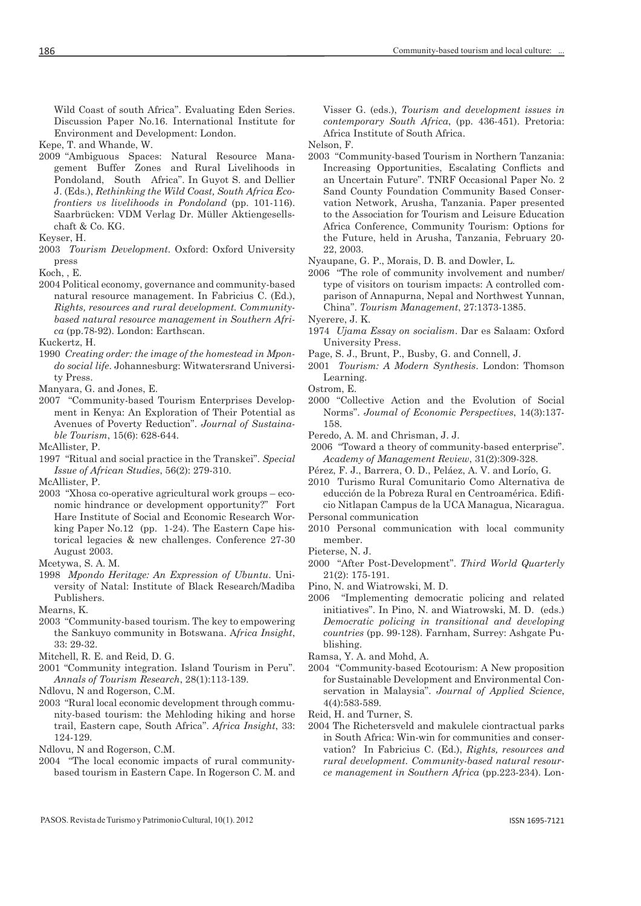Wild Coast of south Africa". Evaluating Eden Series. Discussion Paper No.16. International Institute for Environment and Development: London.

Kepe, T. and Whande, W.

2009 "Ambiguous Spaces: Natural Resource Management Buffer Zones and Rural Livelihoods in Pondoland, South Africa". In Guyot S. and Dellier J. (Eds.), *Rethinking the Wild Coast, South Africa Ecofrontiers vs livelihoods in Pondoland* (pp. 101-116). Saarbrücken: VDM Verlag Dr. Müller Aktiengesellschaft & Co. KG.

2003 *Tourism Development*. Oxford: Oxford University press

Koch, , E.

2004 Political economy, governance and community-based natural resource management. In Fabricius C. (Ed.), *Rights, resources and rural development. Communitybased natural resource management in Southern Africa* (pp.78-92). London: Earthscan.

Kuckertz, H.

- 1990 *Creating order: the image of the homestead in Mpondo social life*. Johannesburg: Witwatersrand University Press.
- Manyara, G. and Jones, E.
- 2007 "Community-based Tourism Enterprises Development in Kenya: An Exploration of Their Potential as Avenues of Poverty Reduction". *Journal of Sustainable Tourism*, 15(6): 628-644.
- McAllister, P.
- 1997 "Ritual and social practice in the Transkei". *Special Issue of African Studies*, 56(2): 279-310.

McAllister, P.

2003 "Xhosa co-operative agricultural work groups – economic hindrance or development opportunity?" Fort Hare Institute of Social and Economic Research Working Paper No.12 (pp. 1-24). The Eastern Cape historical legacies & new challenges. Conference 27-30 August 2003.

Mcetywa, S. A. M.

- 1998 *Mpondo Heritage: An Expression of Ubuntu*. University of Natal: Institute of Black Research/Madiba Publishers.
- Mearns, K.
- 2003 "Community-based tourism. The key to empowering the Sankuyo community in Botswana. A*frica Insight*, 33: 29-32.

2001 "Community integration. Island Tourism in Peru". *Annals of Tourism Research*, 28(1):113-139.

Ndlovu, N and Rogerson, C.M.

2003 "Rural local economic development through community-based tourism: the Mehloding hiking and horse trail, Eastern cape, South Africa". *Africa Insight*, 33: 124-129.

Ndlovu, N and Rogerson, C.M.

2004 "The local economic impacts of rural communitybased tourism in Eastern Cape. In Rogerson C. M. and Visser G. (eds.), *Tourism and development issues in contemporary South Africa*, (pp. 436-451). Pretoria: Africa Institute of South Africa.

Nelson, F.

2003 "Community-based Tourism in Northern Tanzania: Increasing Opportunities, Escalating Conflicts and an Uncertain Future". TNRF Occasional Paper No. 2 Sand County Foundation Community Based Conservation Network, Arusha, Tanzania. Paper presented to the Association for Tourism and Leisure Education Africa Conference, Community Tourism: Options for the Future, held in Arusha, Tanzania, February 20- 22, 2003.

Nyaupane, G. P., Morais, D. B. and Dowler, L.

2006 "The role of community involvement and number/ type of visitors on tourism impacts: A controlled comparison of Annapurna, Nepal and Northwest Yunnan, China". *Tourism Management*, 27:1373-1385.

Nyerere, J. K.

- 1974 *Ujama Essay on socialism*. Dar es Salaam: Oxford University Press.
- Page, S. J., Brunt, P., Busby, G. and Connell, J.
- 2001 *Tourism: A Modern Synthesis*. London: Thomson Learning.

Ostrom, E.

- 2000 "Collective Action and the Evolution of Social Norms". *Joumal of Economic Perspectives*, 14(3):137- 158.
- Peredo, A. M. and Chrisman, J. J.

 2006 "Toward a theory of community-based enterprise". *Academy of Management Review*, 31(2):309-328.

Pérez, F. J., Barrera, O. D., Peláez, A. V. and Lorío, G.

2010 Turismo Rural Comunitario Como Alternativa de educción de la Pobreza Rural en Centroamérica. Edificio Nitlapan Campus de la UCA Managua, Nicaragua. Personal communication

- 2010 Personal communication with local community member.
- Pieterse, N. J.
- 2000 "After Post-Development". *Third World Quarterly* 21(2): 175-191.
- Pino, N. and Wiatrowski, M. D.
- 2006 "Implementing democratic policing and related initiatives". In Pino, N. and Wiatrowski, M. D. (eds.) *Democratic policing in transitional and developing countries* (pp. 99-128). Farnham, Surrey: Ashgate Publishing.

Ramsa, Y. A. and Mohd, A.

2004 "Community-based Ecotourism: A New proposition for Sustainable Development and Environmental Conservation in Malaysia". *Journal of Applied Science*, 4(4):583-589.

Reid, H. and Turner, S.

2004 The Richetersveld and makulele ciontractual parks in South Africa: Win-win for communities and conservation? In Fabricius C. (Ed.), *Rights, resources and rural development. Community-based natural resource management in Southern Africa* (pp.223-234). Lon-

Keyser, H.

Mitchell, R. E. and Reid, D. G.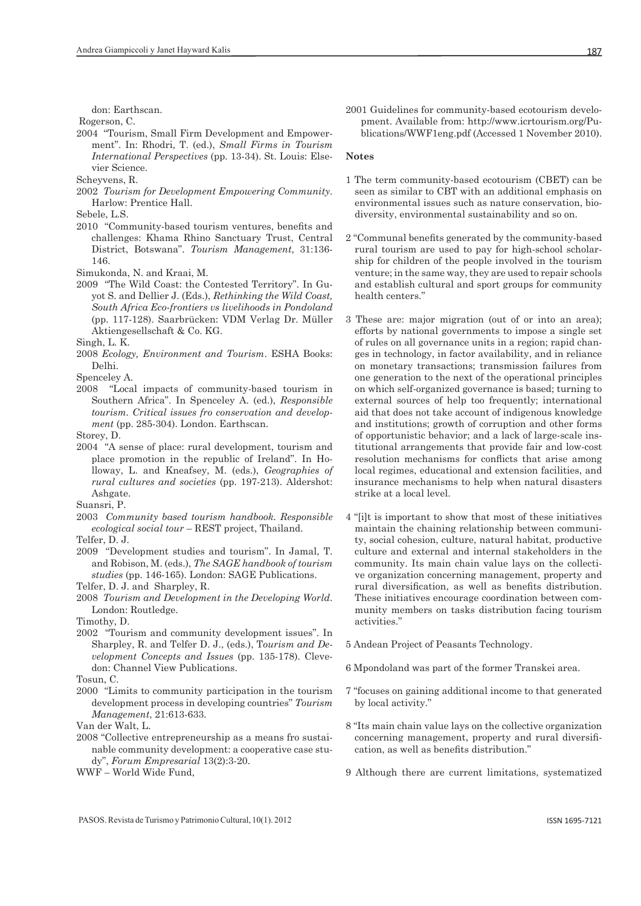don: Earthscan.

Rogerson, C.

2004 "Tourism, Small Firm Development and Empowerment". In: Rhodri, T. (ed.), *Small Firms in Tourism International Perspectives* (pp. 13-34). St. Louis: Elsevier Science.

Scheyvens, R.

2002 *Tourism for Development Empowering Community*. Harlow: Prentice Hall.

Sebele, L.S.

- 2010 "Community-based tourism ventures, benefits and challenges: Khama Rhino Sanctuary Trust, Central District, Botswana". *Tourism Management*, 31:136- 146.
- Simukonda, N. and Kraai, M.
- 2009 "The Wild Coast: the Contested Territory". In Guyot S. and Dellier J. (Eds.), *Rethinking the Wild Coast, South Africa Eco-frontiers vs livelihoods in Pondoland* (pp. 117-128). Saarbrücken: VDM Verlag Dr. Müller Aktiengesellschaft & Co. KG.

Singh, L. K.

2008 *Ecology, Environment and Tourism*. ESHA Books: Delhi.

Spenceley A.

2008 "Local impacts of community-based tourism in Southern Africa". In Spenceley A. (ed.), *Responsible tourism. Critical issues fro conservation and development* (pp. 285-304). London. Earthscan.

Storey, D.

2004 "A sense of place: rural development, tourism and place promotion in the republic of Ireland". In Holloway, L. and Kneafsey, M. (eds.), *Geographies of rural cultures and societies* (pp. 197-213). Aldershot: Ashgate.

Suansri, P.

2003 *Community based tourism handbook. Responsible ecological social tour* – REST project, Thailand.

Telfer, D. J.

- 2009 "Development studies and tourism". In Jamal, T. and Robison, M. (eds.), *The SAGE handbook of tourism studies* (pp. 146-165). London: SAGE Publications.
- Telfer, D. J. and Sharpley, R.
- 2008 *Tourism and Development in the Developing World*. London: Routledge.

Timothy, D.

2002 "Tourism and community development issues". In Sharpley, R. and Telfer D. J., (eds.), T*ourism and Development Concepts and Issues* (pp. 135-178). Clevedon: Channel View Publications.

Tosun, C.

2000 "Limits to community participation in the tourism development process in developing countries" *Tourism Management*, 21:613-633.

Van der Walt, L.

- 2008 "Collective entrepreneurship as a means fro sustainable community development: a cooperative case study", *Forum Empresarial* 13(2):3-20.
- WWF World Wide Fund,

#### **Notes**

- 1 The term community-based ecotourism (CBET) can be seen as similar to CBT with an additional emphasis on environmental issues such as nature conservation, biodiversity, environmental sustainability and so on.
- 2 "Communal benefits generated by the community-based rural tourism are used to pay for high-school scholarship for children of the people involved in the tourism venture; in the same way, they are used to repair schools and establish cultural and sport groups for community health centers."
- 3 These are: major migration (out of or into an area); efforts by national governments to impose a single set of rules on all governance units in a region; rapid changes in technology, in factor availability, and in reliance on monetary transactions; transmission failures from one generation to the next of the operational principles on which self-organized governance is based; turning to external sources of help too frequently; international aid that does not take account of indigenous knowledge and institutions; growth of corruption and other forms of opportunistic behavior; and a lack of large-scale institutional arrangements that provide fair and low-cost resolution mechanisms for conflicts that arise among local regimes, educational and extension facilities, and insurance mechanisms to help when natural disasters strike at a local level.
- 4 "[i]t is important to show that most of these initiatives maintain the chaining relationship between community, social cohesion, culture, natural habitat, productive culture and external and internal stakeholders in the community. Its main chain value lays on the collective organization concerning management, property and rural diversification, as well as benefits distribution. These initiatives encourage coordination between community members on tasks distribution facing tourism activities."
- 5 Andean Project of Peasants Technology.
- 6 Mpondoland was part of the former Transkei area.
- 7 "focuses on gaining additional income to that generated by local activity."
- 8 "Its main chain value lays on the collective organization concerning management, property and rural diversification, as well as benefits distribution."
- 9 Although there are current limitations, systematized

PASOS. Revista de Turismo y Patrimonio Cultural, 10(1). 2012